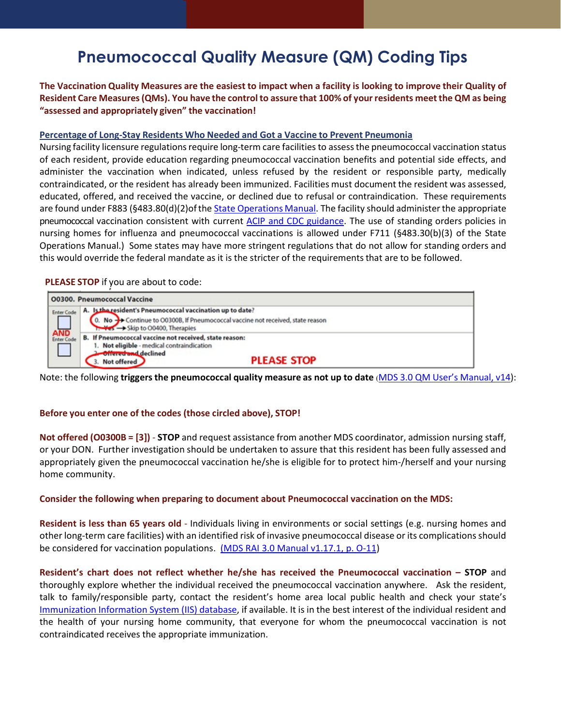## **Pneumococcal Quality Measure (QM) Coding Tips**

The Vaccination Quality Measures are the easiest to impact when a facility is looking to improve their Quality of **Resident Care Measures(QMs). You have the control to assure that 100% of yourresidents meet the QM as being "assessed and appropriately given" the vaccination!**

## **Percentage of Long-Stay Residents Who Needed and Got a Vaccine to Prevent Pneumonia**

Nursing facility licensure regulations require long-term care facilities to assess the pneumococcal vaccination status of each resident, provide education regarding pneumococcal vaccination benefits and potential side effects, and administer the vaccination when indicated, unless refused by the resident or responsible party, medically contraindicated, or the resident has already been immunized. Facilities must document the resident was assessed, educated, offered, and received the vaccine, or declined due to refusal or contraindication. These requirements are found under F883 (§483.80(d)(2)of the State [Operations](https://www.cms.gov/Medicare/Provider-Enrollment-and-Certification/GuidanceforLawsAndRegulations/Nursing-Homes) Manual. The facility should administer the appropriate pneumococcal vaccination consistent with current ACIP and CDC [guidance.](https://www.cdc.gov/vaccines/hcp/acip-recs/vacc-specific/pneumo.html) The use of standing orders policies in nursing homes for influenza and pneumococcal vaccinations is allowed under F711 (§483.30(b)(3) of the State Operations Manual.) Some states may have more stringent regulations that do not allow for standing orders and this would override the federal mandate as it is the stricter of the requirementsthat are to be followed.

**PLEASE STOP** if you are about to code:

| <b>O0300. Pneumococcal Vaccine</b>     |                                                                                                                                                                          |  |
|----------------------------------------|--------------------------------------------------------------------------------------------------------------------------------------------------------------------------|--|
| <b>Enter Code</b><br>AND<br>Enter Code | A. Is the resident's Pneumococcal vaccination up to date?<br>0. No >> Continue to O0300B, If Pneumococcal vaccine not received, state reason<br>Skip to 00400, Therapies |  |
|                                        | B. If Pneumococcal vaccine not received, state reason:<br>Not eligible - medical contraindication<br><b>Offered and declined</b><br><b>PLEASE STOP</b><br>Not offered    |  |

Note: the following **triggersthe pneumococcal quality measure as not up to date** (MDS 3.0 QM User's [Manual,](https://www.cms.gov/Medicare/Quality-Initiatives-Patient-Assessment-Instruments/NursingHomeQualityInits/NHQIQualityMeasures) v14):

## **Before you enter one of the codes (those circled above), STOP!**

**Not offered (O0300B = [3])** - **STOP** and request assistance from another MDS coordinator, admission nursing staff, or your DON. Further investigation should be undertaken to assure that this resident has been fully assessed and appropriately given the pneumococcal vaccination he/she is eligible for to protect him-/herself and your nursing home community.

## **Consider the following when preparing to document about Pneumococcal vaccination on the MDS:**

**Resident is less than 65 years old** - Individuals living in environments or social settings (e.g. nursing homes and other long-term care facilities) with an identified risk of invasive pneumococcal disease or its complications should be considered for vaccination populations. [\(MDS RAI 3.0 Manual v1.17.1, p. O-11\)](https://www.cms.gov/Medicare/Quality-Initiatives-Patient-Assessment-Instruments/NursingHomeQualityInits/MDS30RAIManual)

**Resident's chart does not reflect whether he/she has received the Pneumococcal vaccination – STOP** and thoroughly explore whether the individual received the pneumococcal vaccination anywhere. Ask the resident, talk to family/responsible party, contact the resident's home area local public health and check your state's [Immunization Information System \(IIS\) database,](https://www.cdc.gov/vaccines/programs/iis/contacts-locate-records.html) if available. It is in the best interest of the individual resident and the health of your nursing home community, that everyone for whom the pneumococcal vaccination is not contraindicated receives the appropriate immunization.